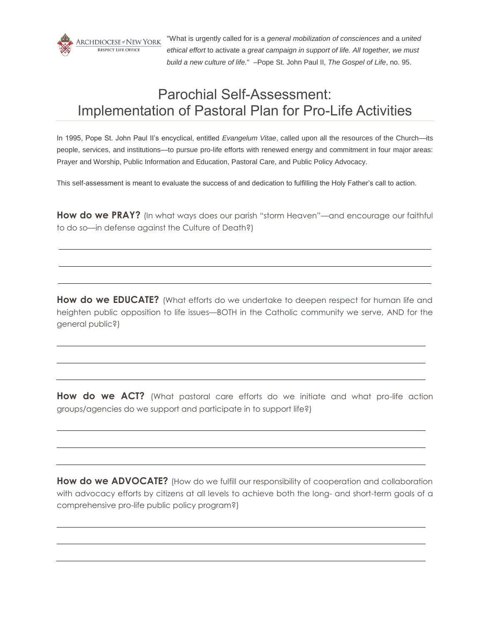

"What is urgently called for is a *general mobilization of consciences* and a *united ethical effort* to activate a *great campaign in support of life. All together, we must build a new culture of life.*" –Pope St. John Paul II, *The Gospel of Life*, no. 95.

# Parochial Self-Assessment: Implementation of Pastoral Plan for Pro-Life Activities

In 1995, Pope St. John Paul II's encyclical, entitled *Evangelum Vitae*, called upon all the resources of the Church—its people, services, and institutions—to pursue pro-life efforts with renewed energy and commitment in four major areas: Prayer and Worship, Public Information and Education, Pastoral Care, and Public Policy Advocacy.

This self-assessment is meant to evaluate the success of and dedication to fulfilling the Holy Father's call to action.

**How do we PRAY?** (In what ways does our parish "storm Heaven"—and encourage our faithful to do so—in defense against the Culture of Death?)

How do we EDUCATE? (What efforts do we undertake to deepen respect for human life and heighten public opposition to life issues—BOTH in the Catholic community we serve, AND for the general public?)

**How do we ACT?** (What pastoral care efforts do we initiate and what pro-life action groups/agencies do we support and participate in to support life?)

How do we ADVOCATE? (How do we fulfill our responsibility of cooperation and collaboration with advocacy efforts by citizens at all levels to achieve both the long- and short-term goals of a comprehensive pro-life public policy program?)